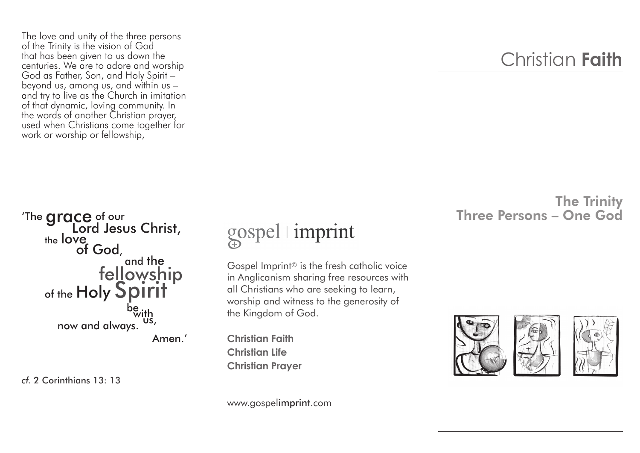The love and unity of the three persons of the Trinity is the vision of God that has been given to us down the centuries. We are to adore and worship God as Father, Son, and Holy Spirit – beyond us, among us, and within us – and try to live as the Church in imitation of that dynamic, loving community. In the words of another Christian prayer, used when Christians come together for work or worship or fellowship,

## Christian **Faith**

## The Trinity Three Persons – One God

The **grace** of our **Lord Jesus Christ,** the love of God, and the fellowship of the  $\mathsf{Holy}\mathsf{Split}$ <br>he with now and always. Amen.'

*cf.* 2 Corinthians 13: 13

## gospel imprint

Gospel Imprint© is the fresh catholic voice in Anglicanism sharing free resources with all Christians who are seeking to learn, worship and witness to the generosity of the Kingdom of God.

**Christian Faith Christian Life Christian Prayer**





www.gospelimprint.com